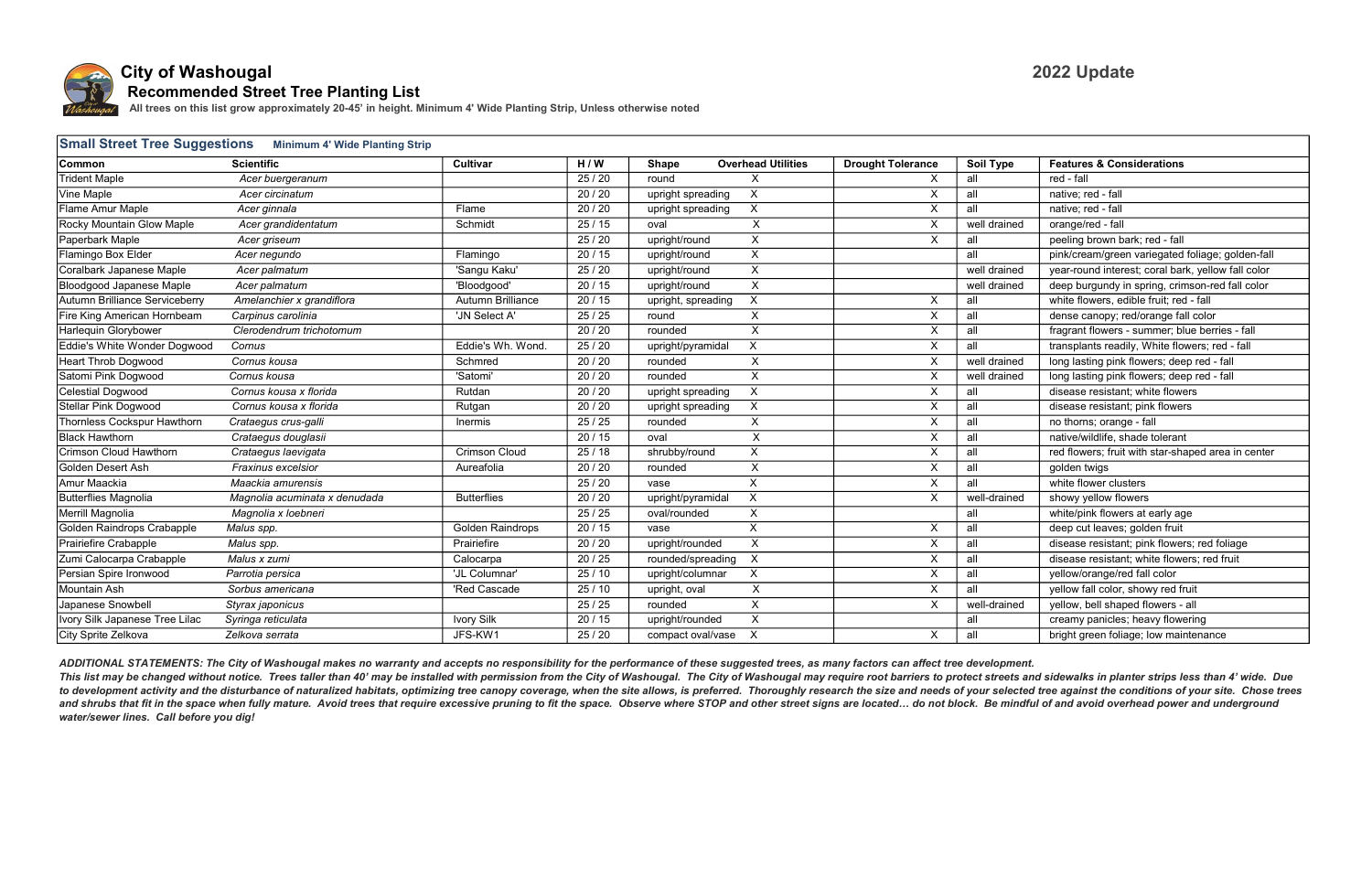

| <b>Small Street Tree Suggestions</b><br><b>Minimum 4' Wide Planting Strip</b> |                               |                         |         |                     |                           |                           |              |                                                    |
|-------------------------------------------------------------------------------|-------------------------------|-------------------------|---------|---------------------|---------------------------|---------------------------|--------------|----------------------------------------------------|
| <b>Common</b>                                                                 | <b>Scientific</b>             | Cultivar                | H/W     | <b>Shape</b>        | <b>Overhead Utilities</b> | <b>Drought Tolerance</b>  | Soil Type    | <b>Features &amp; Considerations</b>               |
| <b>Trident Maple</b>                                                          | Acer buergeranum              |                         | 25/20   | round               | $\mathsf{X}$              | X                         | all          | red - fall                                         |
| Vine Maple                                                                    | Acer circinatum               |                         | 20/20   | upright spreading   | $\boldsymbol{\mathsf{X}}$ | $\sf X$                   | all          | native; red - fall                                 |
| Flame Amur Maple                                                              | Acer ginnala                  | Flame                   | 20 / 20 | upright spreading   | $\times$                  | X                         | all          | native; red - fall                                 |
| Rocky Mountain Glow Maple                                                     | Acer grandidentatum           | Schmidt                 | 25/15   | oval                | X                         | $\overline{X}$            | well drained | orange/red - fall                                  |
| Paperbark Maple                                                               | Acer griseum                  |                         | 25/20   | upright/round       | $\mathsf{X}$              | $\sf X$                   | all          | peeling brown bark; red - fall                     |
| Flamingo Box Elder                                                            | Acer negundo                  | Flamingo                | 20/15   | upright/round       | $\boldsymbol{\mathsf{X}}$ |                           | all          | pink/cream/green variegated foliage; golden-fall   |
| Coralbark Japanese Maple                                                      | Acer palmatum                 | 'Sangu Kaku'            | 25/20   | upright/round       | $\boldsymbol{\mathsf{X}}$ |                           | well drained | year-round interest; coral bark, yellow fall color |
| <b>Bloodgood Japanese Maple</b>                                               | Acer palmatum                 | 'Bloodgood'             | 20/15   | upright/round       | $\boldsymbol{\mathsf{X}}$ |                           | well drained | deep burgundy in spring, crimson-red fall color    |
| Autumn Brilliance Serviceberry                                                | Amelanchier x grandiflora     | Autumn Brilliance       | 20/15   | upright, spreading  | $\boldsymbol{\mathsf{X}}$ | X                         | all          | white flowers, edible fruit; red - fall            |
| Fire King American Hornbeam                                                   | Carpinus carolinia            | 'JN Select A'           | 25/25   | round               | X                         | $\boldsymbol{X}$          | all          | dense canopy; red/orange fall color                |
| Harlequin Glorybower                                                          | Clerodendrum trichotomum      |                         | 20/20   | rounded             | $\mathsf{X}$              | $\sf X$                   | all          | fragrant flowers - summer; blue berries - fall     |
| Eddie's White Wonder Dogwood                                                  | Cornus                        | Eddie's Wh. Wond.       | 25/20   | upright/pyramidal   | X                         | $\mathsf{X}$              | all          | transplants readily, White flowers; red - fall     |
| <b>Heart Throb Dogwood</b>                                                    | Cornus kousa                  | Schmred                 | 20 / 20 | rounded             | $\boldsymbol{\mathsf{X}}$ | X                         | well drained | long lasting pink flowers; deep red - fall         |
| Satomi Pink Dogwood                                                           | Cornus kousa                  | 'Satomi'                | 20/20   | rounded             | $\boldsymbol{\mathsf{X}}$ | $\sf X$                   | well drained | long lasting pink flowers; deep red - fall         |
| <b>Celestial Dogwood</b>                                                      | Cornus kousa x florida        | Rutdan                  | 20/20   | upright spreading   | $\boldsymbol{\mathsf{X}}$ | $\boldsymbol{X}$          | all          | disease resistant; white flowers                   |
| Stellar Pink Dogwood                                                          | Cornus kousa x florida        | Rutgan                  | 20/20   | upright spreading   | $\times$                  | $\sf X$                   | all          | disease resistant; pink flowers                    |
| Thornless Cockspur Hawthorn                                                   | Crataegus crus-galli          | Inermis                 | 25/25   | rounded             | $\boldsymbol{\mathsf{X}}$ | $\boldsymbol{X}$          | all          | no thorns; orange - fall                           |
| <b>Black Hawthorn</b>                                                         | Crataegus douglasii           |                         | 20/15   | oval                | $\pmb{\times}$            | $\sf X$                   | all          | native/wildlife, shade tolerant                    |
| <b>Crimson Cloud Hawthorn</b>                                                 | Crataegus laevigata           | <b>Crimson Cloud</b>    | 25/18   | shrubby/round       | $\mathsf{X}$              | $\mathsf{X}$              | all          | red flowers; fruit with star-shaped area in center |
| Golden Desert Ash                                                             | Fraxinus excelsior            | Aureafolia              | 20 / 20 | rounded             | $\boldsymbol{\mathsf{X}}$ | X                         | all          | golden twigs                                       |
| Amur Maackia                                                                  | Maackia amurensis             |                         | 25/20   | vase                | $\boldsymbol{\mathsf{X}}$ | $\mathsf{X}$              | all          | white flower clusters                              |
| <b>Butterflies Magnolia</b>                                                   | Magnolia acuminata x denudada | <b>Butterflies</b>      | 20 / 20 | upright/pyramidal   | X                         | X                         | well-drained | showy yellow flowers                               |
| Merrill Magnolia                                                              | Magnolia x loebneri           |                         | 25/25   | oval/rounded        | $\times$                  |                           | all          | white/pink flowers at early age                    |
| Golden Raindrops Crabapple                                                    | Malus spp.                    | <b>Golden Raindrops</b> | 20/15   | vase                | $\pmb{\times}$            | $\boldsymbol{\mathsf{X}}$ | all          | deep cut leaves; golden fruit                      |
| Prairiefire Crabapple                                                         | Malus spp.                    | Prairiefire             | 20/20   | upright/rounded     | $\boldsymbol{\mathsf{X}}$ | $\boldsymbol{X}$          | all          | disease resistant; pink flowers; red foliage       |
| Zumi Calocarpa Crabapple                                                      | Malus x zumi                  | Calocarpa               | 20/25   | rounded/spreading   | $\times$                  | X                         | all          | disease resistant; white flowers; red fruit        |
| Persian Spire Ironwood                                                        | Parrotia persica              | 'JL Columnar'           | 25/10   | upright/columnar    | $\times$                  | $\mathsf X$               | all          | yellow/orange/red fall color                       |
| <b>Mountain Ash</b>                                                           | Sorbus americana              | 'Red Cascade            | 25/10   | upright, oval       | X                         | $\overline{\mathsf{x}}$   | all          | yellow fall color, showy red fruit                 |
| Japanese Snowbell                                                             | Styrax japonicus              |                         | 25/25   | rounded             | $\mathsf{X}$              | $\sf X$                   | well-drained | yellow, bell shaped flowers - all                  |
| Ivory Silk Japanese Tree Lilac                                                | Syringa reticulata            | <b>Ivory Silk</b>       | 20/15   | upright/rounded     | X                         |                           | all          | creamy panicles; heavy flowering                   |
| City Sprite Zelkova                                                           | Zelkova serrata               | JFS-KW1                 | 25/20   | compact oval/vase X |                           | $\sf X$                   | all          | bright green foliage; low maintenance              |

## City of Washougal 2022 Update Recommended Street Tree Planting List

*Našhougal* All trees on this list grow approximately 20-45' in height. Minimum 4' Wide Planting Strip, Unless otherwise noted

ADDITIONAL STATEMENTS: The City of Washougal makes no warranty and accepts no responsibility for the performance of these suggested trees, as many factors can affect tree development. This list may be changed without notice. Trees taller than 40' may be installed with permission from the City of Washougal. The City of Washougal may require root barriers to protect streets and sidewalks in planter strips to development activity and the disturbance of naturalized habitats, optimizing tree canopy coverage, when the site allows, is preferred. Thoroughly research the size and needs of your selected tree against the conditions and shrubs that fit in the space when fully mature. Avoid trees that require excessive pruning to fit the space. Observe where STOP and other street signs are located... do not block. Be mindful of and avoid overhead power water/sewer lines. Call before you dig!